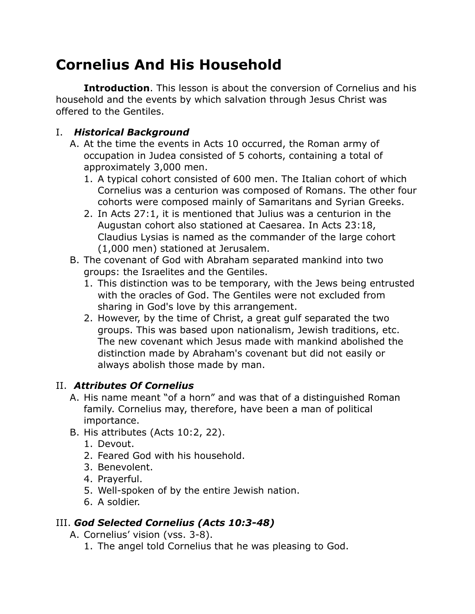# **Cornelius And His Household**

**Introduction**. This lesson is about the conversion of Cornelius and his household and the events by which salvation through Jesus Christ was offered to the Gentiles.

#### I. *Historical Background*

- A. At the time the events in Acts 10 occurred, the Roman army of occupation in Judea consisted of 5 cohorts, containing a total of approximately 3,000 men.
	- 1. A typical cohort consisted of 600 men. The Italian cohort of which Cornelius was a centurion was composed of Romans. The other four cohorts were composed mainly of Samaritans and Syrian Greeks.
	- 2. In Acts 27:1, it is mentioned that Julius was a centurion in the Augustan cohort also stationed at Caesarea. In Acts 23:18, Claudius Lysias is named as the commander of the large cohort (1,000 men) stationed at Jerusalem.
- B. The covenant of God with Abraham separated mankind into two groups: the Israelites and the Gentiles.
	- 1. This distinction was to be temporary, with the Jews being entrusted with the oracles of God. The Gentiles were not excluded from sharing in God's love by this arrangement.
	- 2. However, by the time of Christ, a great gulf separated the two groups. This was based upon nationalism, Jewish traditions, etc. The new covenant which Jesus made with mankind abolished the distinction made by Abraham's covenant but did not easily or always abolish those made by man.

### II. *Attributes Of Cornelius*

- A. His name meant "of a horn" and was that of a distinguished Roman family. Cornelius may, therefore, have been a man of political importance.
- B. His attributes (Acts 10:2, 22).
	- 1. Devout.
	- 2. Feared God with his household.
	- 3. Benevolent.
	- 4. Prayerful.
	- 5. Well-spoken of by the entire Jewish nation.
	- 6. A soldier.

## III. *God Selected Cornelius (Acts 10:3-48)*

A. Cornelius' vision (vss. 3-8).

1. The angel told Cornelius that he was pleasing to God.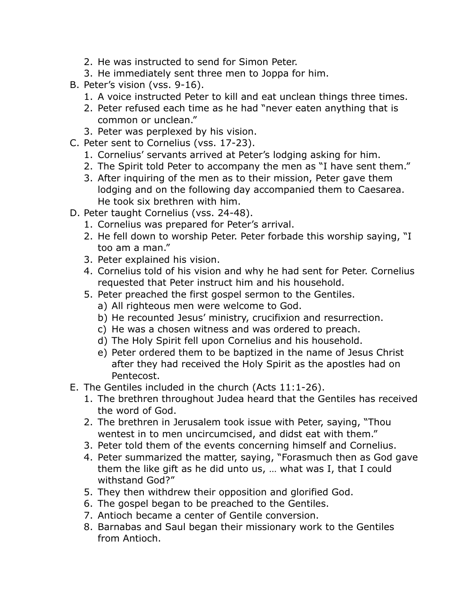- 2. He was instructed to send for Simon Peter.
- 3. He immediately sent three men to Joppa for him.
- B. Peter's vision (vss. 9-16).
	- 1. A voice instructed Peter to kill and eat unclean things three times.
	- 2. Peter refused each time as he had "never eaten anything that is common or unclean."
	- 3. Peter was perplexed by his vision.
- C. Peter sent to Cornelius (vss. 17-23).
	- 1. Cornelius' servants arrived at Peter's lodging asking for him.
	- 2. The Spirit told Peter to accompany the men as "I have sent them."
	- 3. After inquiring of the men as to their mission, Peter gave them lodging and on the following day accompanied them to Caesarea. He took six brethren with him.
- D. Peter taught Cornelius (vss. 24-48).
	- 1. Cornelius was prepared for Peter's arrival.
	- 2. He fell down to worship Peter. Peter forbade this worship saying, "I too am a man."
	- 3. Peter explained his vision.
	- 4. Cornelius told of his vision and why he had sent for Peter. Cornelius requested that Peter instruct him and his household.
	- 5. Peter preached the first gospel sermon to the Gentiles.
		- a) All righteous men were welcome to God.
		- b) He recounted Jesus' ministry, crucifixion and resurrection.
		- c) He was a chosen witness and was ordered to preach.
		- d) The Holy Spirit fell upon Cornelius and his household.
		- e) Peter ordered them to be baptized in the name of Jesus Christ after they had received the Holy Spirit as the apostles had on Pentecost.
- E. The Gentiles included in the church (Acts 11:1-26).
	- 1. The brethren throughout Judea heard that the Gentiles has received the word of God.
	- 2. The brethren in Jerusalem took issue with Peter, saying, "Thou wentest in to men uncircumcised, and didst eat with them."
	- 3. Peter told them of the events concerning himself and Cornelius.
	- 4. Peter summarized the matter, saying, "Forasmuch then as God gave them the like gift as he did unto us, … what was I, that I could withstand God?"
	- 5. They then withdrew their opposition and glorified God.
	- 6. The gospel began to be preached to the Gentiles.
	- 7. Antioch became a center of Gentile conversion.
	- 8. Barnabas and Saul began their missionary work to the Gentiles from Antioch.